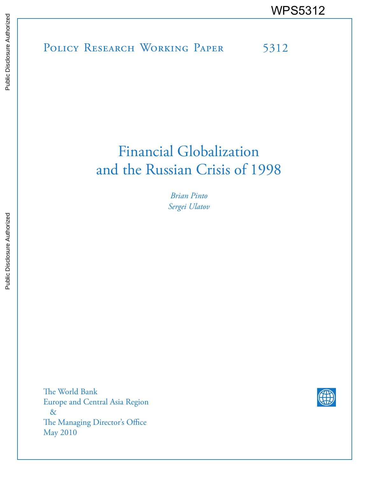POLICY RESEARCH WORKING PAPER 5312 WPS5312<br>
MESS312<br>
MESSEARCH WORKING PAPER<br>
SERIES 5312<br>
POLICY RESEARCH WORKING PAPER<br>
SERIES 5312

# Financial Globalization and the Russian Crisis of 1998

*Brian Pinto Sergei Ulatov*

The World Bank Europe and Central Asia Region & The Managing Director's Office May 2010

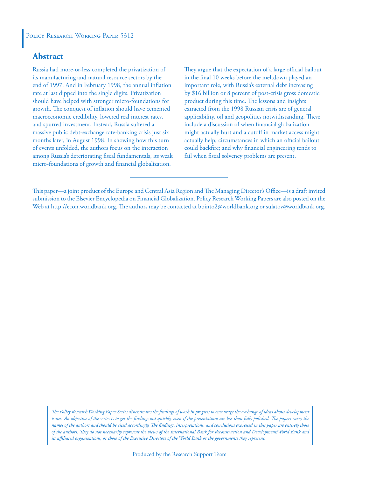# **Abstract**

Russia had more-or-less completed the privatization of its manufacturing and natural resource sectors by the end of 1997. And in February 1998, the annual inflation rate at last dipped into the single digits. Privatization should have helped with stronger micro-foundations for growth. The conquest of inflation should have cemented macroeconomic credibility, lowered real interest rates, and spurred investment. Instead, Russia suffered a massive public debt-exchange rate-banking crisis just six months later, in August 1998. In showing how this turn of events unfolded, the authors focus on the interaction among Russia's deteriorating fiscal fundamentals, its weak micro-foundations of growth and financial globalization.

They argue that the expectation of a large official bailout in the final 10 weeks before the meltdown played an important role, with Russia's external debt increasing by \$16 billion or 8 percent of post-crisis gross domestic product during this time. The lessons and insights extracted from the 1998 Russian crisis are of general applicability, oil and geopolitics notwithstanding. These include a discussion of when financial globalization might actually hurt and a cutoff in market access might actually help; circumstances in which an official bailout could backfire; and why financial engineering tends to fail when fiscal solvency problems are present.

This paper—a joint product of the Europe and Central Asia Region and The Managing Director's Office—is a draft invited submission to the Elsevier Encyclopedia on Financial Globalization. Policy Research Working Papers are also posted on the Web at http://econ.worldbank.org. The authors may be contacted at bpinto2@worldbank.org or sulatov@worldbank.org.

*The Policy Research Working Paper Series disseminates the findings of work in progress to encourage the exchange of ideas about development*  issues. An objective of the series is to get the findings out quickly, even if the presentations are less than fully polished. The papers carry the *names of the authors and should be cited accordingly. The findings, interpretations, and conclusions expressed in this paper are entirely those of the authors. They do not necessarily represent the views of the International Bank for Reconstruction and Development/World Bank and its affiliated organizations, or those of the Executive Directors of the World Bank or the governments they represent.*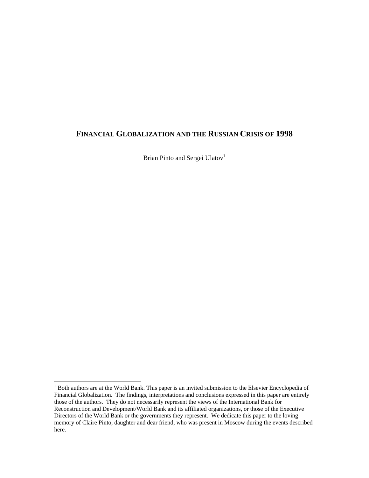# **FINANCIAL GLOBALIZATION AND THE RUSSIAN CRISIS OF 1998**

Brian Pinto and Sergei Ulatov<sup>1</sup>

<sup>&</sup>lt;sup>1</sup> Both authors are at the World Bank. This paper is an invited submission to the Elsevier Encyclopedia of Financial Globalization. The findings, interpretations and conclusions expressed in this paper are entirely those of the authors. They do not necessarily represent the views of the International Bank for Reconstruction and Development/World Bank and its affiliated organizations, or those of the Executive Directors of the World Bank or the governments they represent. We dedicate this paper to the loving memory of Claire Pinto, daughter and dear friend, who was present in Moscow during the events described here.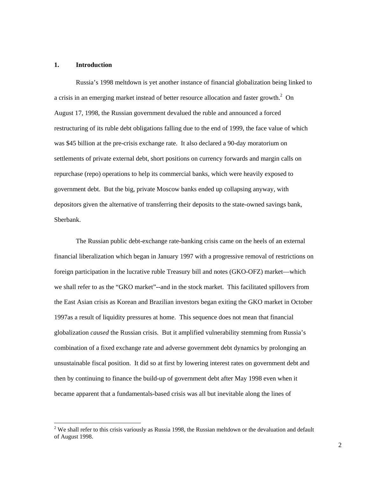#### **1. Introduction**

l

Russia's 1998 meltdown is yet another instance of financial globalization being linked to a crisis in an emerging market instead of better resource allocation and faster growth. $2$  On August 17, 1998, the Russian government devalued the ruble and announced a forced restructuring of its ruble debt obligations falling due to the end of 1999, the face value of which was \$45 billion at the pre-crisis exchange rate. It also declared a 90-day moratorium on settlements of private external debt, short positions on currency forwards and margin calls on repurchase (repo) operations to help its commercial banks, which were heavily exposed to government debt. But the big, private Moscow banks ended up collapsing anyway, with depositors given the alternative of transferring their deposits to the state-owned savings bank, Sberbank.

The Russian public debt-exchange rate-banking crisis came on the heels of an external financial liberalization which began in January 1997 with a progressive removal of restrictions on foreign participation in the lucrative ruble Treasury bill and notes (GKO-OFZ) market—which we shall refer to as the "GKO market"--and in the stock market. This facilitated spillovers from the East Asian crisis as Korean and Brazilian investors began exiting the GKO market in October 1997as a result of liquidity pressures at home. This sequence does not mean that financial globalization *caused* the Russian crisis. But it amplified vulnerability stemming from Russia's combination of a fixed exchange rate and adverse government debt dynamics by prolonging an unsustainable fiscal position. It did so at first by lowering interest rates on government debt and then by continuing to finance the build-up of government debt after May 1998 even when it became apparent that a fundamentals-based crisis was all but inevitable along the lines of

<sup>&</sup>lt;sup>2</sup> We shall refer to this crisis variously as Russia 1998, the Russian meltdown or the devaluation and default of August 1998.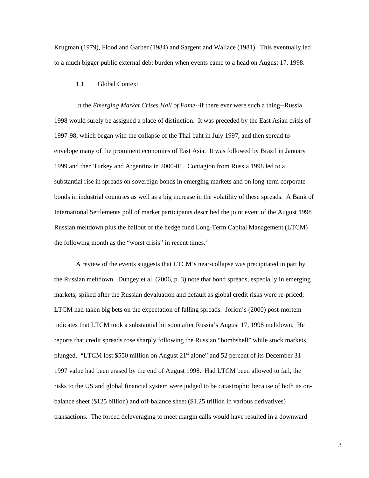Krugman (1979), Flood and Garber (1984) and Sargent and Wallace (1981). This eventually led to a much bigger public external debt burden when events came to a head on August 17, 1998.

## 1.1 Global Context

In the *Emerging Market Crises Hall of Fame*--if there ever were such a thing--Russia 1998 would surely be assigned a place of distinction. It was preceded by the East Asian crisis of 1997-98, which began with the collapse of the Thai baht in July 1997, and then spread to envelope many of the prominent economies of East Asia. It was followed by Brazil in January 1999 and then Turkey and Argentina in 2000-01. Contagion from Russia 1998 led to a substantial rise in spreads on sovereign bonds in emerging markets and on long-term corporate bonds in industrial countries as well as a big increase in the volatility of these spreads. A Bank of International Settlements poll of market participants described the joint event of the August 1998 Russian meltdown plus the bailout of the hedge fund Long-Term Capital Management (LTCM) the following month as the "worst crisis" in recent times. $3$ 

A review of the events suggests that LTCM's near-collapse was precipitated in part by the Russian meltdown. Dungey et al. (2006, p. 3) note that bond spreads, especially in emerging markets, spiked after the Russian devaluation and default as global credit risks were re-priced; LTCM had taken big bets on the expectation of falling spreads. Jorion's (2000) post-mortem indicates that LTCM took a substantial hit soon after Russia's August 17, 1998 meltdown. He reports that credit spreads rose sharply following the Russian "bombshell" while stock markets plunged. "LTCM lost \$550 million on August  $21<sup>st</sup>$  alone" and 52 percent of its December 31 1997 value had been erased by the end of August 1998. Had LTCM been allowed to fail, the risks to the US and global financial system were judged to be catastrophic because of both its onbalance sheet (\$125 billion) and off-balance sheet (\$1.25 trillion in various derivatives) transactions. The forced deleveraging to meet margin calls would have resulted in a downward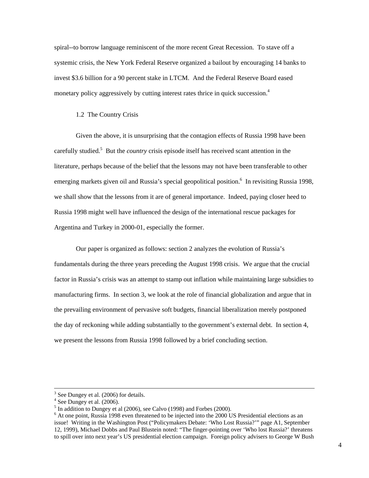spiral--to borrow language reminiscent of the more recent Great Recession. To stave off a systemic crisis, the New York Federal Reserve organized a bailout by encouraging 14 banks to invest \$3.6 billion for a 90 percent stake in LTCM. And the Federal Reserve Board eased monetary policy aggressively by cutting interest rates thrice in quick succession.<sup>4</sup>

#### 1.2 The Country Crisis

Given the above, it is unsurprising that the contagion effects of Russia 1998 have been carefully studied.<sup>5</sup> But the *country* crisis episode itself has received scant attention in the literature, perhaps because of the belief that the lessons may not have been transferable to other emerging markets given oil and Russia's special geopolitical position.<sup>6</sup> In revisiting Russia 1998, we shall show that the lessons from it are of general importance. Indeed, paying closer heed to Russia 1998 might well have influenced the design of the international rescue packages for Argentina and Turkey in 2000-01, especially the former.

Our paper is organized as follows: section 2 analyzes the evolution of Russia's fundamentals during the three years preceding the August 1998 crisis. We argue that the crucial factor in Russia's crisis was an attempt to stamp out inflation while maintaining large subsidies to manufacturing firms. In section 3, we look at the role of financial globalization and argue that in the prevailing environment of pervasive soft budgets, financial liberalization merely postponed the day of reckoning while adding substantially to the government's external debt. In section 4, we present the lessons from Russia 1998 followed by a brief concluding section.

 $\frac{1}{3}$  $3$  See Dungey et al. (2006) for details.

<sup>4</sup> See Dungey et al. (2006).

 $<sup>5</sup>$  In addition to Dungey et al (2006), see Calvo (1998) and Forbes (2000).</sup>

<sup>&</sup>lt;sup>6</sup> At one point, Russia 1998 even threatened to be injected into the 2000 US Presidential elections as an issue! Writing in the Washington Post ("Policymakers Debate: 'Who Lost Russia?'" page A1, September 12, 1999), Michael Dobbs and Paul Blustein noted: "The finger-pointing over 'Who lost Russia?' threatens to spill over into next year's US presidential election campaign. Foreign policy advisers to George W Bush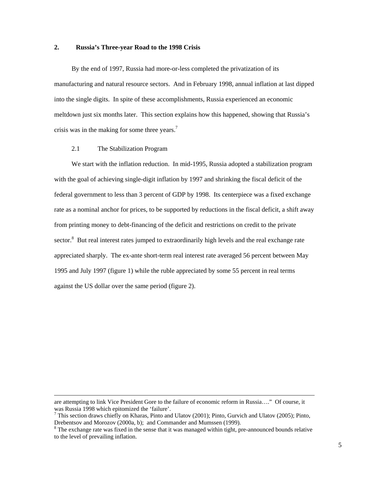#### **2. Russia's Three-year Road to the 1998 Crisis**

By the end of 1997, Russia had more-or-less completed the privatization of its manufacturing and natural resource sectors. And in February 1998, annual inflation at last dipped into the single digits. In spite of these accomplishments, Russia experienced an economic meltdown just six months later. This section explains how this happened, showing that Russia's crisis was in the making for some three years.<sup>7</sup>

#### 2.1 The Stabilization Program

l

We start with the inflation reduction. In mid-1995, Russia adopted a stabilization program with the goal of achieving single-digit inflation by 1997 and shrinking the fiscal deficit of the federal government to less than 3 percent of GDP by 1998. Its centerpiece was a fixed exchange rate as a nominal anchor for prices, to be supported by reductions in the fiscal deficit, a shift away from printing money to debt-financing of the deficit and restrictions on credit to the private sector.<sup>8</sup> But real interest rates jumped to extraordinarily high levels and the real exchange rate appreciated sharply. The ex-ante short-term real interest rate averaged 56 percent between May 1995 and July 1997 (figure 1) while the ruble appreciated by some 55 percent in real terms against the US dollar over the same period (figure 2).

are attempting to link Vice President Gore to the failure of economic reform in Russia…." Of course, it was Russia 1998 which epitomized the 'failure'.

<sup>&</sup>lt;sup>7</sup> This section draws chiefly on Kharas, Pinto and Ulatov (2001); Pinto, Gurvich and Ulatov (2005); Pinto, Drebentsov and Morozov (2000a, b); and Commander and Mumssen (1999).

<sup>&</sup>lt;sup>8</sup> The exchange rate was fixed in the sense that it was managed within tight, pre-announced bounds relative to the level of prevailing inflation.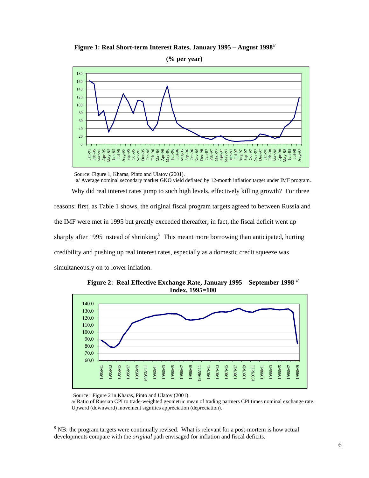**Figure 1: Real Short-term Interest Rates, January 1995 – August 1998**a/





Source: Figure 1, Kharas, Pinto and Ulatov (2001).

 a/ Average nominal secondary market GKO yield deflated by 12-month inflation target under IMF program. Why did real interest rates jump to such high levels, effectively killing growth? For three reasons: first, as Table 1 shows, the original fiscal program targets agreed to between Russia and the IMF were met in 1995 but greatly exceeded thereafter; in fact, the fiscal deficit went up sharply after 1995 instead of shrinking.<sup>9</sup> This meant more borrowing than anticipated, hurting credibility and pushing up real interest rates, especially as a domestic credit squeeze was simultaneously on to lower inflation.



**Figure 2: Real Effective Exchange Rate, January 1995 – September 1998** a/ **Index, 1995=100** 

Source: Figure 2 in Kharas, Pinto and Ulatov (2001).

l

a/ Ratio of Russian CPI to trade-weighted geometric mean of trading partners CPI times nominal exchange rate. Upward (downward) movement signifies appreciation (depreciation).

 $9$  NB: the program targets were continually revised. What is relevant for a post-mortem is how actual developments compare with the *original* path envisaged for inflation and fiscal deficits.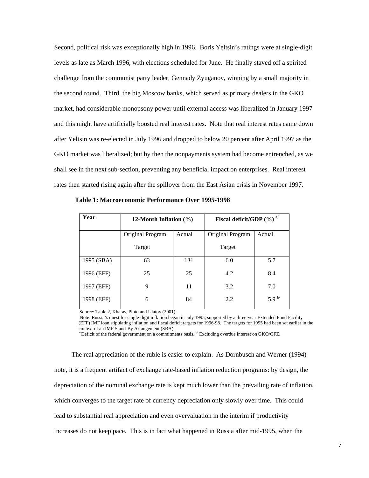Second, political risk was exceptionally high in 1996. Boris Yeltsin's ratings were at single-digit levels as late as March 1996, with elections scheduled for June. He finally staved off a spirited challenge from the communist party leader, Gennady Zyuganov, winning by a small majority in the second round. Third, the big Moscow banks, which served as primary dealers in the GKO market, had considerable monopsony power until external access was liberalized in January 1997 and this might have artificially boosted real interest rates. Note that real interest rates came down after Yeltsin was re-elected in July 1996 and dropped to below 20 percent after April 1997 as the GKO market was liberalized; but by then the nonpayments system had become entrenched, as we shall see in the next sub-section, preventing any beneficial impact on enterprises. Real interest rates then started rising again after the spillover from the East Asian crisis in November 1997.

| Year       | 12-Month Inflation $(\% )$ |     | Fiscal deficit/GDP $(\% )$ <sup>a/</sup> |                 |  |
|------------|----------------------------|-----|------------------------------------------|-----------------|--|
|            | Original Program<br>Actual |     | Original Program                         | Actual          |  |
|            | Target                     |     | Target                                   |                 |  |
| 1995 (SBA) | 63                         | 131 | 6.0                                      | 5.7             |  |
| 1996 (EFF) | 25                         | 25  | 4.2                                      | 8.4             |  |
| 1997 (EFF) | 9                          | 11  | 3.2                                      | 7.0             |  |
| 1998 (EFF) | 6                          | 84  | 2.2                                      | 5.9 $\rm ^{b/}$ |  |

 **Table 1: Macroeconomic Performance Over 1995-1998** 

Source: Table 2, Kharas, Pinto and Ulatov (2001).

 Note: Russia's quest for single-digit inflation began in July 1995, supported by a three-year Extended Fund Facility (EFF) IMF loan stipulating inflation and fiscal deficit targets for 1996-98. The targets for 1995 had been set earlier in the context of an IMF Stand-By Arrangement (SBA).

<sup>a</sup>/Deficit of the federal government on a commitments basis. <sup>b/</sup> Excluding overdue interest on GKO/OFZ.

The real appreciation of the ruble is easier to explain. As Dornbusch and Werner (1994) note, it is a frequent artifact of exchange rate-based inflation reduction programs: by design, the depreciation of the nominal exchange rate is kept much lower than the prevailing rate of inflation, which converges to the target rate of currency depreciation only slowly over time. This could lead to substantial real appreciation and even overvaluation in the interim if productivity increases do not keep pace. This is in fact what happened in Russia after mid-1995, when the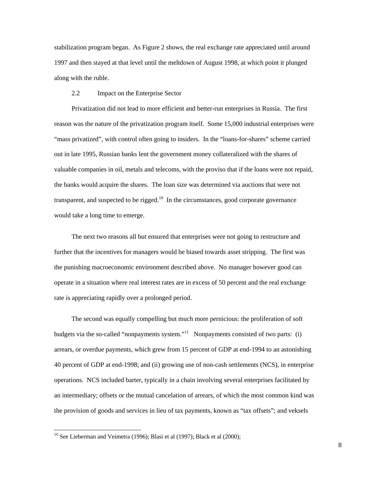stabilization program began. As Figure 2 shows, the real exchange rate appreciated until around 1997 and then stayed at that level until the meltdown of August 1998, at which point it plunged along with the ruble.

# 2.2 Impact on the Enterprise Sector

Privatization did not lead to more efficient and better-run enterprises in Russia. The first reason was the nature of the privatization program itself. Some 15,000 industrial enterprises were "mass privatized", with control often going to insiders. In the "loans-for-shares" scheme carried out in late 1995, Russian banks lent the government money collateralized with the shares of valuable companies in oil, metals and telecoms, with the proviso that if the loans were not repaid, the banks would acquire the shares. The loan size was determined via auctions that were not transparent, and suspected to be rigged.<sup>10</sup> In the circumstances, good corporate governance would take a long time to emerge.

The next two reasons all but ensured that enterprises were not going to restructure and further that the incentives for managers would be biased towards asset stripping. The first was the punishing macroeconomic environment described above. No manager however good can operate in a situation where real interest rates are in excess of 50 percent and the real exchange rate is appreciating rapidly over a prolonged period.

The second was equally compelling but much more pernicious: the proliferation of soft budgets via the so-called "nonpayments system."<sup>11</sup> Nonpayments consisted of two parts: (i) arrears, or overdue payments, which grew from 15 percent of GDP at end-1994 to an astonishing 40 percent of GDP at end-1998; and (ii) growing use of non-cash settlements (NCS), in enterprise operations. NCS included barter, typically in a chain involving several enterprises facilitated by an intermediary; offsets or the mutual cancelation of arrears, of which the most common kind was the provision of goods and services in lieu of tax payments, known as "tax offsets"; and veksels

<sup>&</sup>lt;sup>10</sup> See Lieberman and Veimetra (1996); Blasi et al (1997); Black et al (2000);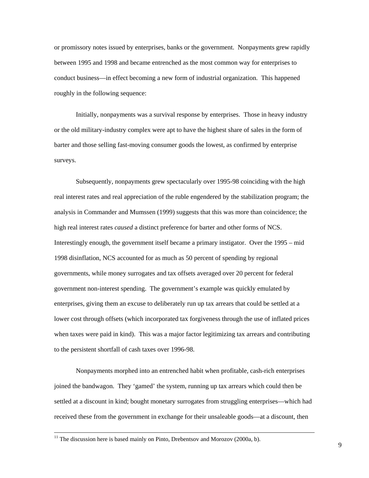or promissory notes issued by enterprises, banks or the government. Nonpayments grew rapidly between 1995 and 1998 and became entrenched as the most common way for enterprises to conduct business—in effect becoming a new form of industrial organization. This happened roughly in the following sequence:

Initially, nonpayments was a survival response by enterprises. Those in heavy industry or the old military-industry complex were apt to have the highest share of sales in the form of barter and those selling fast-moving consumer goods the lowest, as confirmed by enterprise surveys.

Subsequently, nonpayments grew spectacularly over 1995-98 coinciding with the high real interest rates and real appreciation of the ruble engendered by the stabilization program; the analysis in Commander and Mumssen (1999) suggests that this was more than coincidence; the high real interest rates *caused* a distinct preference for barter and other forms of NCS. Interestingly enough, the government itself became a primary instigator. Over the 1995 – mid 1998 disinflation, NCS accounted for as much as 50 percent of spending by regional governments, while money surrogates and tax offsets averaged over 20 percent for federal government non-interest spending. The government's example was quickly emulated by enterprises, giving them an excuse to deliberately run up tax arrears that could be settled at a lower cost through offsets (which incorporated tax forgiveness through the use of inflated prices when taxes were paid in kind). This was a major factor legitimizing tax arrears and contributing to the persistent shortfall of cash taxes over 1996-98.

Nonpayments morphed into an entrenched habit when profitable, cash-rich enterprises joined the bandwagon. They 'gamed' the system, running up tax arrears which could then be settled at a discount in kind; bought monetary surrogates from struggling enterprises—which had received these from the government in exchange for their unsaleable goods—at a discount, then

 $11$  The discussion here is based mainly on Pinto, Drebentsov and Morozov (2000a, b).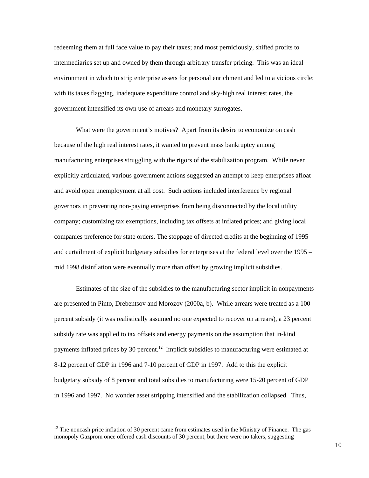redeeming them at full face value to pay their taxes; and most perniciously, shifted profits to intermediaries set up and owned by them through arbitrary transfer pricing. This was an ideal environment in which to strip enterprise assets for personal enrichment and led to a vicious circle: with its taxes flagging, inadequate expenditure control and sky-high real interest rates, the government intensified its own use of arrears and monetary surrogates.

 What were the government's motives? Apart from its desire to economize on cash because of the high real interest rates, it wanted to prevent mass bankruptcy among manufacturing enterprises struggling with the rigors of the stabilization program. While never explicitly articulated, various government actions suggested an attempt to keep enterprises afloat and avoid open unemployment at all cost. Such actions included interference by regional governors in preventing non-paying enterprises from being disconnected by the local utility company; customizing tax exemptions, including tax offsets at inflated prices; and giving local companies preference for state orders. The stoppage of directed credits at the beginning of 1995 and curtailment of explicit budgetary subsidies for enterprises at the federal level over the 1995 – mid 1998 disinflation were eventually more than offset by growing implicit subsidies.

Estimates of the size of the subsidies to the manufacturing sector implicit in nonpayments are presented in Pinto, Drebentsov and Morozov (2000a, b). While arrears were treated as a 100 percent subsidy (it was realistically assumed no one expected to recover on arrears), a 23 percent subsidy rate was applied to tax offsets and energy payments on the assumption that in-kind payments inflated prices by 30 percent.<sup>12</sup> Implicit subsidies to manufacturing were estimated at 8-12 percent of GDP in 1996 and 7-10 percent of GDP in 1997. Add to this the explicit budgetary subsidy of 8 percent and total subsidies to manufacturing were 15-20 percent of GDP in 1996 and 1997. No wonder asset stripping intensified and the stabilization collapsed. Thus,

<sup>&</sup>lt;sup>12</sup> The noncash price inflation of 30 percent came from estimates used in the Ministry of Finance. The gas monopoly Gazprom once offered cash discounts of 30 percent, but there were no takers, suggesting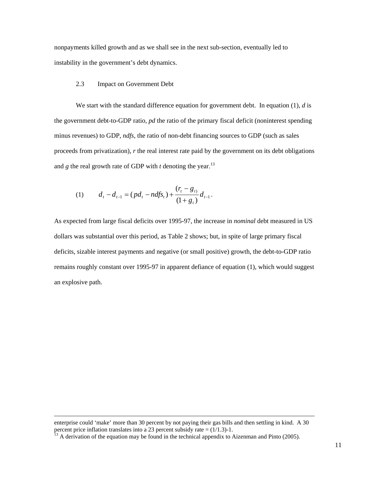nonpayments killed growth and as we shall see in the next sub-section, eventually led to instability in the government's debt dynamics.

# 2.3 Impact on Government Debt

 We start with the standard difference equation for government debt. In equation (1), *d* is the government debt-to-GDP ratio, *pd* the ratio of the primary fiscal deficit (noninterest spending minus revenues) to GDP, *ndfs*, the ratio of non-debt financing sources to GDP (such as sales proceeds from privatization), *r* the real interest rate paid by the government on its debt obligations and *g* the real growth rate of GDP with *t* denoting the year.<sup>13</sup>

(1) 
$$
d_t - d_{t-1} = (pd_t - ndfs_t) + \frac{(r_t - g_t)}{(1 + g_t)}d_{t-1}.
$$

As expected from large fiscal deficits over 1995-97, the increase in *nominal* debt measured in US dollars was substantial over this period, as Table 2 shows; but, in spite of large primary fiscal deficits, sizable interest payments and negative (or small positive) growth, the debt-to-GDP ratio remains roughly constant over 1995-97 in apparent defiance of equation (1), which would suggest an explosive path.

enterprise could 'make' more than 30 percent by not paying their gas bills and then settling in kind. A 30 percent price inflation translates into a 23 percent subsidy rate  $= (1/1.3)$ -1.

 $^{13}$  A derivation of the equation may be found in the technical appendix to Aizenman and Pinto (2005).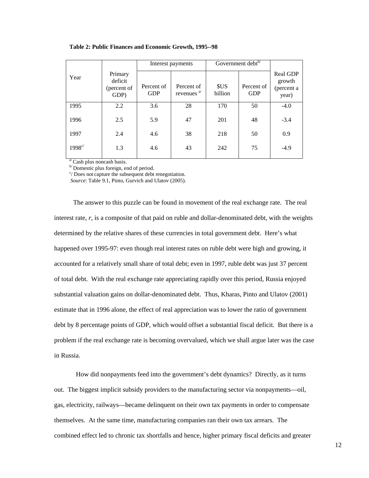|             |                                           |                          | Interest payments          | Government debt <sup>b/</sup> |                          |                                                  |
|-------------|-------------------------------------------|--------------------------|----------------------------|-------------------------------|--------------------------|--------------------------------------------------|
| Year        | Primary<br>deficit<br>(percent of<br>GDP) | Percent of<br><b>GDP</b> | Percent of<br>revenues $a$ | \$US<br>billion               | Percent of<br><b>GDP</b> | <b>Real GDP</b><br>growth<br>(percent a<br>year) |
| 1995        | 2.2                                       | 3.6                      | 28                         | 170                           | 50                       | $-4.0$                                           |
| 1996        | 2.5                                       | 5.9                      | 47                         | 201                           | 48                       | $-3.4$                                           |
| 1997        | 2.4                                       | 4.6                      | 38                         | 218                           | 50                       | 0.9                                              |
| $1998^{c/}$ | 1.3                                       | 4.6                      | 43                         | 242                           | 75                       | $-4.9$                                           |

#### **Table 2: Public Finances and Economic Growth, 1995--98**

<sup>a</sup> Cash plus noncash basis.

 $\overrightarrow{b}$  Domestic plus foreign, end of period.

<sup>c</sup>/ Does not capture the subsequent debt renegotiation.

*Source*: Table 9.1, Pinto, Gurvich and Ulatov (2005).

The answer to this puzzle can be found in movement of the real exchange rate. The real interest rate, *r*, is a composite of that paid on ruble and dollar-denominated debt, with the weights determined by the relative shares of these currencies in total government debt. Here's what happened over 1995-97: even though real interest rates on ruble debt were high and growing, it accounted for a relatively small share of total debt; even in 1997, ruble debt was just 37 percent of total debt. With the real exchange rate appreciating rapidly over this period, Russia enjoyed substantial valuation gains on dollar-denominated debt. Thus, Kharas, Pinto and Ulatov (2001) estimate that in 1996 alone, the effect of real appreciation was to lower the ratio of government debt by 8 percentage points of GDP, which would offset a substantial fiscal deficit. But there is a problem if the real exchange rate is becoming overvalued, which we shall argue later was the case in Russia.

How did nonpayments feed into the government's debt dynamics? Directly, as it turns out. The biggest implicit subsidy providers to the manufacturing sector via nonpayments—oil, gas, electricity, railways—became delinquent on their own tax payments in order to compensate themselves. At the same time, manufacturing companies ran their own tax arrears. The combined effect led to chronic tax shortfalls and hence, higher primary fiscal deficits and greater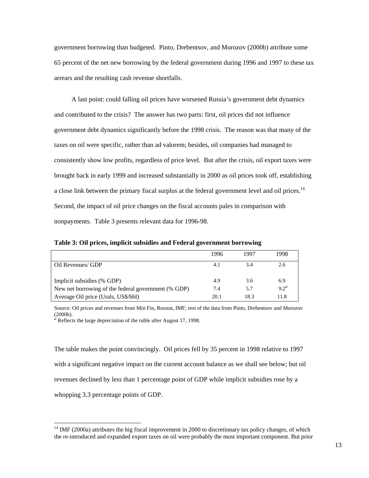government borrowing than budgeted. Pinto, Drebentsov, and Morozov (2000b) attribute some 65 percent of the net new borrowing by the federal government during 1996 and 1997 to these tax arrears and the resulting cash revenue shortfalls.

A last point: could falling oil prices have worsened Russia's government debt dynamics and contributed to the crisis? The answer has two parts: first, oil prices did not influence government debt dynamics significantly before the 1998 crisis. The reason was that many of the taxes on oil were specific, rather than ad valorem; besides, oil companies had managed to consistently show low profits, regardless of price level. But after the crisis, oil export taxes were brought back in early 1999 and increased substantially in 2000 as oil prices took off, establishing a close link between the primary fiscal surplus at the federal government level and oil prices.<sup>14</sup> Second, the impact of oil price changes on the fiscal accounts pales in comparison with nonpayments. Table 3 presents relevant data for 1996-98.

**Table 3: Oil prices, implicit subsidies and Federal government borrowing** 

|                                                     | 1996 | 1997 | 1998      |
|-----------------------------------------------------|------|------|-----------|
| Oil Revenues/ GDP                                   | 4.1  | 3.4  | 2.6       |
| Implicit subsidies (% GDP)                          | 4.9  | 3.6  | 6.9       |
| New net borrowing of the federal government (% GDP) | 7.4  | 5.7  | $9.2^{a}$ |
| Average Oil price (Urals, US\$/bbl)                 | 20.1 | 18.3 | 11.8      |

Source: Oil prices and revenues from Min Fin, Rosstat, IMF; rest of the data from Pinto, Drebentsov and Morozov (2000b).

 $a^{\prime}$  Reflects the large depreciation of the ruble after August 17, 1998.

l

The table makes the point convincingly. Oil prices fell by 35 percent in 1998 relative to 1997 with a significant negative impact on the current account balance as we shall see below; but oil revenues declined by less than 1 percentage point of GDP while implicit subsidies rose by a whopping 3.3 percentage points of GDP.

<sup>&</sup>lt;sup>14</sup> IMF (2000a) attributes the big fiscal improvement in 2000 to discretionary tax policy changes, of which the re-introduced and expanded export taxes on oil were probably the most important component. But prior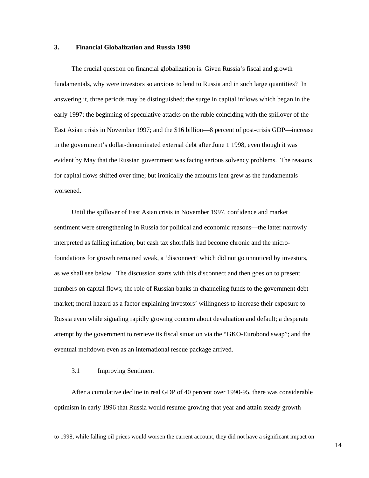#### **3. Financial Globalization and Russia 1998**

The crucial question on financial globalization is: Given Russia's fiscal and growth fundamentals, why were investors so anxious to lend to Russia and in such large quantities? In answering it, three periods may be distinguished: the surge in capital inflows which began in the early 1997; the beginning of speculative attacks on the ruble coinciding with the spillover of the East Asian crisis in November 1997; and the \$16 billion—8 percent of post-crisis GDP—increase in the government's dollar-denominated external debt after June 1 1998, even though it was evident by May that the Russian government was facing serious solvency problems. The reasons for capital flows shifted over time; but ironically the amounts lent grew as the fundamentals worsened.

Until the spillover of East Asian crisis in November 1997, confidence and market sentiment were strengthening in Russia for political and economic reasons—the latter narrowly interpreted as falling inflation; but cash tax shortfalls had become chronic and the microfoundations for growth remained weak, a 'disconnect' which did not go unnoticed by investors, as we shall see below. The discussion starts with this disconnect and then goes on to present numbers on capital flows; the role of Russian banks in channeling funds to the government debt market; moral hazard as a factor explaining investors' willingness to increase their exposure to Russia even while signaling rapidly growing concern about devaluation and default; a desperate attempt by the government to retrieve its fiscal situation via the "GKO-Eurobond swap"; and the eventual meltdown even as an international rescue package arrived.

#### 3.1 Improving Sentiment

1

After a cumulative decline in real GDP of 40 percent over 1990-95, there was considerable optimism in early 1996 that Russia would resume growing that year and attain steady growth

to 1998, while falling oil prices would worsen the current account, they did not have a significant impact on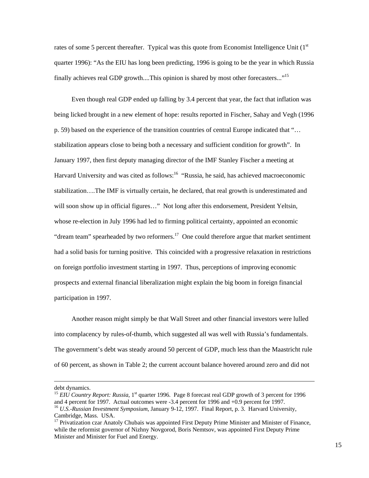rates of some 5 percent thereafter. Typical was this quote from Economist Intelligence Unit  $(1<sup>st</sup>$ quarter 1996): "As the EIU has long been predicting, 1996 is going to be the year in which Russia finally achieves real GDP growth....This opinion is shared by most other forecasters..."<sup>15</sup>

Even though real GDP ended up falling by 3.4 percent that year, the fact that inflation was being licked brought in a new element of hope: results reported in Fischer, Sahay and Vegh (1996 p. 59) based on the experience of the transition countries of central Europe indicated that "… stabilization appears close to being both a necessary and sufficient condition for growth". In January 1997, then first deputy managing director of the IMF Stanley Fischer a meeting at Harvard University and was cited as follows:<sup>16</sup> "Russia, he said, has achieved macroeconomic stabilization….The IMF is virtually certain, he declared, that real growth is underestimated and will soon show up in official figures..." Not long after this endorsement, President Yeltsin, whose re-election in July 1996 had led to firming political certainty, appointed an economic "dream team" spearheaded by two reformers.<sup>17</sup> One could therefore argue that market sentiment had a solid basis for turning positive. This coincided with a progressive relaxation in restrictions on foreign portfolio investment starting in 1997. Thus, perceptions of improving economic prospects and external financial liberalization might explain the big boom in foreign financial participation in 1997.

Another reason might simply be that Wall Street and other financial investors were lulled into complacency by rules-of-thumb, which suggested all was well with Russia's fundamentals. The government's debt was steady around 50 percent of GDP, much less than the Maastricht rule of 60 percent, as shown in Table 2; the current account balance hovered around zero and did not

debt dynamics.

<sup>&</sup>lt;sup>15</sup> *EIU Country Report: Russia*, 1<sup>st</sup> quarter 1996. Page 8 forecast real GDP growth of 3 percent for 1996 and 4 percent for 1997. Actual outcomes were -3.4 percent for 1996 and +0.9 percent for 1997. <sup>16</sup> *U.S.-Russian Investment Symposium*, January 9-12, 1997. Final Report, p. 3. Harvard University, Cambridge, Mass. USA.

<sup>&</sup>lt;sup>17</sup> Privatization czar Anatoly Chubais was appointed First Deputy Prime Minister and Minister of Finance, while the reformist governor of Nizhny Novgorod, Boris Nemtsov, was appointed First Deputy Prime Minister and Minister for Fuel and Energy.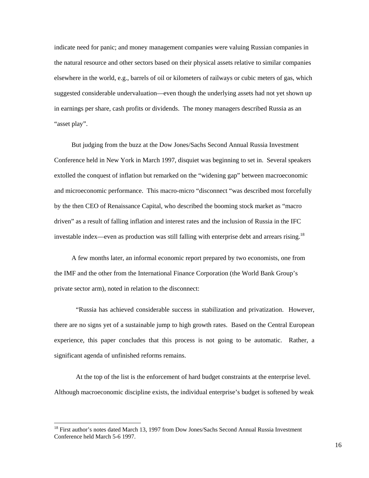indicate need for panic; and money management companies were valuing Russian companies in the natural resource and other sectors based on their physical assets relative to similar companies elsewhere in the world, e.g., barrels of oil or kilometers of railways or cubic meters of gas, which suggested considerable undervaluation—even though the underlying assets had not yet shown up in earnings per share, cash profits or dividends. The money managers described Russia as an "asset play".

But judging from the buzz at the Dow Jones/Sachs Second Annual Russia Investment Conference held in New York in March 1997, disquiet was beginning to set in. Several speakers extolled the conquest of inflation but remarked on the "widening gap" between macroeconomic and microeconomic performance. This macro-micro "disconnect "was described most forcefully by the then CEO of Renaissance Capital, who described the booming stock market as "macro driven" as a result of falling inflation and interest rates and the inclusion of Russia in the IFC investable index—even as production was still falling with enterprise debt and arrears rising.<sup>18</sup>

A few months later, an informal economic report prepared by two economists, one from the IMF and the other from the International Finance Corporation (the World Bank Group's private sector arm), noted in relation to the disconnect:

 "Russia has achieved considerable success in stabilization and privatization. However, there are no signs yet of a sustainable jump to high growth rates. Based on the Central European experience, this paper concludes that this process is not going to be automatic. Rather, a significant agenda of unfinished reforms remains.

 At the top of the list is the enforcement of hard budget constraints at the enterprise level. Although macroeconomic discipline exists, the individual enterprise's budget is softened by weak

<sup>&</sup>lt;sup>18</sup> First author's notes dated March 13, 1997 from Dow Jones/Sachs Second Annual Russia Investment Conference held March 5-6 1997.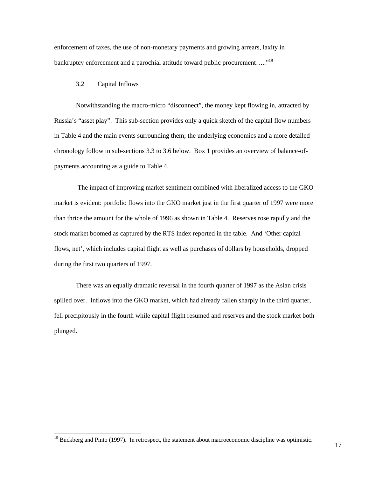enforcement of taxes, the use of non-monetary payments and growing arrears, laxity in bankruptcy enforcement and a parochial attitude toward public procurement....."<sup>19</sup>

## 3.2 Capital Inflows

l

Notwithstanding the macro-micro "disconnect", the money kept flowing in, attracted by Russia's "asset play". This sub-section provides only a quick sketch of the capital flow numbers in Table 4 and the main events surrounding them; the underlying economics and a more detailed chronology follow in sub-sections 3.3 to 3.6 below. Box 1 provides an overview of balance-ofpayments accounting as a guide to Table 4.

 The impact of improving market sentiment combined with liberalized access to the GKO market is evident: portfolio flows into the GKO market just in the first quarter of 1997 were more than thrice the amount for the whole of 1996 as shown in Table 4. Reserves rose rapidly and the stock market boomed as captured by the RTS index reported in the table. And 'Other capital flows, net', which includes capital flight as well as purchases of dollars by households, dropped during the first two quarters of 1997.

There was an equally dramatic reversal in the fourth quarter of 1997 as the Asian crisis spilled over. Inflows into the GKO market, which had already fallen sharply in the third quarter, fell precipitously in the fourth while capital flight resumed and reserves and the stock market both plunged.

 $19$  Buckberg and Pinto (1997). In retrospect, the statement about macroeconomic discipline was optimistic.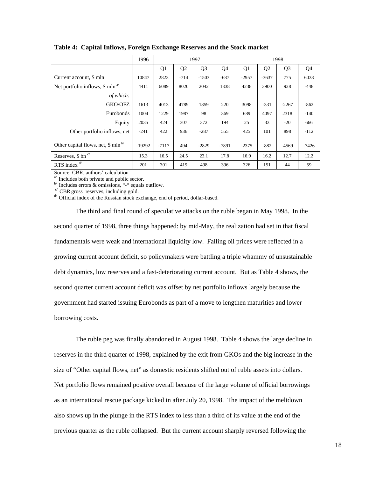|                                       | 1996     | 1997           |                |                | 1998    |                |                |                |         |
|---------------------------------------|----------|----------------|----------------|----------------|---------|----------------|----------------|----------------|---------|
|                                       |          | Q <sub>1</sub> | Q <sub>2</sub> | Q <sub>3</sub> | Q4      | Q <sub>1</sub> | Q <sub>2</sub> | Q <sub>3</sub> | Q4      |
| Current account, \$ mln               | 10847    | 2823           | $-714$         | $-1503$        | $-687$  | $-2957$        | $-3637$        | 775            | 6038    |
| Net portfolio inflows, $\sinh^{a}$    | 4411     | 6089           | 8020           | 2042           | 1338    | 4238           | 3900           | 928            | -448    |
| of which:                             |          |                |                |                |         |                |                |                |         |
| GKO/OFZ                               | 1613     | 4013           | 4789           | 1859           | 220     | 3098           | $-331$         | $-2267$        | $-862$  |
| Eurobonds                             | 1004     | 1229           | 1987           | 98             | 369     | 689            | 4097           | 2318           | $-140$  |
| Equity                                | 2035     | 424            | 307            | 372            | 194     | 25             | 33             | $-20$          | 666     |
| Other portfolio inflows, net          | $-241$   | 422            | 936            | $-287$         | 555     | 425            | 101            | 898            | $-112$  |
| Other capital flows, net, $\sinh^{b}$ | $-19292$ | $-7117$        | 494            | $-2829$        | $-7891$ | $-2375$        | $-882$         | $-4569$        | $-7426$ |
| Reserves, $$bnc'$                     | 15.3     | 16.5           | 24.5           | 23.1           | 17.8    | 16.9           | 16.2           | 12.7           | 12.2    |
| RTS index $d$                         | 201      | 301            | 419            | 498            | 396     | 326            | 151            | 44             | 59      |

**Table 4: Capital Inflows, Foreign Exchange Reserves and the Stock market** 

Source: CBR, authors' calculation<br>
<sup>a'</sup> Includes both private and public sector.<br>
<sup>b'</sup> Includes errors & omissions, "-" equals outflow.<br>
c' CBR gross reserves, including gold.<br>
d' Official index of the Russian stock excha

The third and final round of speculative attacks on the ruble began in May 1998. In the second quarter of 1998, three things happened: by mid-May, the realization had set in that fiscal fundamentals were weak and international liquidity low. Falling oil prices were reflected in a growing current account deficit, so policymakers were battling a triple whammy of unsustainable debt dynamics, low reserves and a fast-deteriorating current account. But as Table 4 shows, the second quarter current account deficit was offset by net portfolio inflows largely because the government had started issuing Eurobonds as part of a move to lengthen maturities and lower borrowing costs.

 The ruble peg was finally abandoned in August 1998. Table 4 shows the large decline in reserves in the third quarter of 1998, explained by the exit from GKOs and the big increase in the size of "Other capital flows, net" as domestic residents shifted out of ruble assets into dollars. Net portfolio flows remained positive overall because of the large volume of official borrowings as an international rescue package kicked in after July 20, 1998. The impact of the meltdown also shows up in the plunge in the RTS index to less than a third of its value at the end of the previous quarter as the ruble collapsed. But the current account sharply reversed following the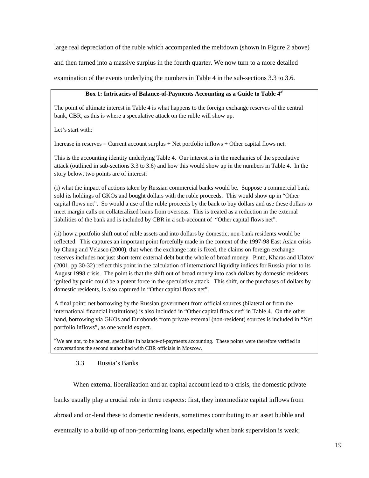large real depreciation of the ruble which accompanied the meltdown (shown in Figure 2 above) and then turned into a massive surplus in the fourth quarter. We now turn to a more detailed examination of the events underlying the numbers in Table 4 in the sub-sections 3.3 to 3.6.

# **Box 1: Intricacies of Balance-of-Payments Accounting as a Guide to Table 4**a/

The point of ultimate interest in Table 4 is what happens to the foreign exchange reserves of the central bank, CBR, as this is where a speculative attack on the ruble will show up.

Let's start with:

Increase in reserves = Current account surplus + Net portfolio inflows + Other capital flows net.

This is the accounting identity underlying Table 4. Our interest is in the mechanics of the speculative attack (outlined in sub-sections 3.3 to 3.6) and how this would show up in the numbers in Table 4. In the story below, two points are of interest:

(i) what the impact of actions taken by Russian commercial banks would be. Suppose a commercial bank sold its holdings of GKOs and bought dollars with the ruble proceeds. This would show up in "Other capital flows net". So would a use of the ruble proceeds by the bank to buy dollars and use these dollars to meet margin calls on collateralized loans from overseas. This is treated as a reduction in the external liabilities of the bank and is included by CBR in a sub-account of "Other capital flows net".

(ii) how a portfolio shift out of ruble assets and into dollars by domestic, non-bank residents would be reflected. This captures an important point forcefully made in the context of the 1997-98 East Asian crisis by Chang and Velasco (2000), that when the exchange rate is fixed, the claims on foreign exchange reserves includes not just short-term external debt but the whole of broad money. Pinto, Kharas and Ulatov (2001, pp 30-32) reflect this point in the calculation of international liquidity indices for Russia prior to its August 1998 crisis. The point is that the shift out of broad money into cash dollars by domestic residents ignited by panic could be a potent force in the speculative attack. This shift, or the purchases of dollars by domestic residents, is also captured in "Other capital flows net".

A final point: net borrowing by the Russian government from official sources (bilateral or from the international financial institutions) is also included in "Other capital flows net" in Table 4. On the other hand, borrowing via GKOs and Eurobonds from private external (non-resident) sources is included in "Net portfolio inflows", as one would expect.

 $a^{\prime\prime}$ We are not, to be honest, specialists in balance-of-payments accounting. These points were therefore verified in conversations the second author had with CBR officials in Moscow.

# 3.3 Russia's Banks

When external liberalization and an capital account lead to a crisis, the domestic private banks usually play a crucial role in three respects: first, they intermediate capital inflows from abroad and on-lend these to domestic residents, sometimes contributing to an asset bubble and eventually to a build-up of non-performing loans, especially when bank supervision is weak;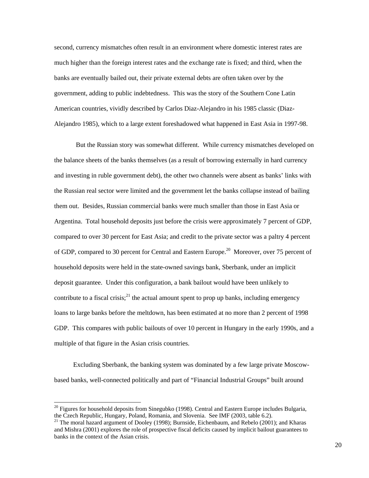second, currency mismatches often result in an environment where domestic interest rates are much higher than the foreign interest rates and the exchange rate is fixed; and third, when the banks are eventually bailed out, their private external debts are often taken over by the government, adding to public indebtedness. This was the story of the Southern Cone Latin American countries, vividly described by Carlos Diaz-Alejandro in his 1985 classic (Diaz-Alejandro 1985), which to a large extent foreshadowed what happened in East Asia in 1997-98.

But the Russian story was somewhat different. While currency mismatches developed on the balance sheets of the banks themselves (as a result of borrowing externally in hard currency and investing in ruble government debt), the other two channels were absent as banks' links with the Russian real sector were limited and the government let the banks collapse instead of bailing them out. Besides, Russian commercial banks were much smaller than those in East Asia or Argentina. Total household deposits just before the crisis were approximately 7 percent of GDP, compared to over 30 percent for East Asia; and credit to the private sector was a paltry 4 percent of GDP, compared to 30 percent for Central and Eastern Europe.<sup>20</sup> Moreover, over 75 percent of household deposits were held in the state-owned savings bank, Sberbank, under an implicit deposit guarantee. Under this configuration, a bank bailout would have been unlikely to contribute to a fiscal crisis;<sup>21</sup> the actual amount spent to prop up banks, including emergency loans to large banks before the meltdown, has been estimated at no more than 2 percent of 1998 GDP. This compares with public bailouts of over 10 percent in Hungary in the early 1990s, and a multiple of that figure in the Asian crisis countries.

Excluding Sberbank, the banking system was dominated by a few large private Moscowbased banks, well-connected politically and part of "Financial Industrial Groups" built around

<sup>&</sup>lt;sup>20</sup> Figures for household deposits from Sinegubko (1998). Central and Eastern Europe includes Bulgaria, the Czech Republic, Hungary, Poland, Romania, and Slovenia. See IMF (2003, table 6.2).

<sup>&</sup>lt;sup>21</sup> The moral hazard argument of Dooley (1998); Burnside, Eichenbaum, and Rebelo (2001); and Kharas and Mishra (2001) explores the role of prospective fiscal deficits caused by implicit bailout guarantees to banks in the context of the Asian crisis.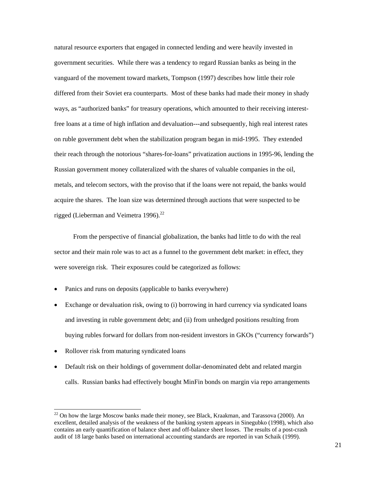natural resource exporters that engaged in connected lending and were heavily invested in government securities. While there was a tendency to regard Russian banks as being in the vanguard of the movement toward markets, Tompson (1997) describes how little their role differed from their Soviet era counterparts. Most of these banks had made their money in shady ways, as "authorized banks" for treasury operations, which amounted to their receiving interestfree loans at a time of high inflation and devaluation---and subsequently, high real interest rates on ruble government debt when the stabilization program began in mid-1995. They extended their reach through the notorious "shares-for-loans" privatization auctions in 1995-96, lending the Russian government money collateralized with the shares of valuable companies in the oil, metals, and telecom sectors, with the proviso that if the loans were not repaid, the banks would acquire the shares. The loan size was determined through auctions that were suspected to be rigged (Lieberman and Veimetra 1996). $^{22}$ 

From the perspective of financial globalization, the banks had little to do with the real sector and their main role was to act as a funnel to the government debt market: in effect, they were sovereign risk. Their exposures could be categorized as follows:

- Panics and runs on deposits (applicable to banks everywhere)
- Exchange or devaluation risk, owing to (i) borrowing in hard currency via syndicated loans and investing in ruble government debt; and (ii) from unhedged positions resulting from buying rubles forward for dollars from non-resident investors in GKOs ("currency forwards")
- Rollover risk from maturing syndicated loans

1

• Default risk on their holdings of government dollar-denominated debt and related margin calls. Russian banks had effectively bought MinFin bonds on margin via repo arrangements

<sup>&</sup>lt;sup>22</sup> On how the large Moscow banks made their money, see Black, Kraakman, and Tarassova (2000). An excellent, detailed analysis of the weakness of the banking system appears in Sinegubko (1998), which also contains an early quantification of balance sheet and off-balance sheet losses. The results of a post-crash audit of 18 large banks based on international accounting standards are reported in van Schaik (1999).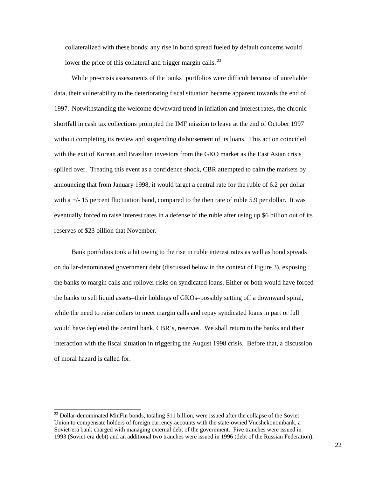collateralized with these bonds; any rise in bond spread fueled by default concerns would lower the price of this collateral and trigger margin calls.  $^{23}$ 

While pre-crisis assessments of the banks' portfolios were difficult because of unreliable data, their vulnerability to the deteriorating fiscal situation became apparent towards the end of 1997. Notwithstanding the welcome downward trend in inflation and interest rates, the chronic shortfall in cash tax collections prompted the IMF mission to leave at the end of October 1997 without completing its review and suspending disbursement of its loans. This action coincided with the exit of Korean and Brazilian investors from the GKO market as the East Asian crisis spilled over. Treating this event as a confidence shock, CBR attempted to calm the markets by announcing that from January 1998, it would target a central rate for the ruble of 6.2 per dollar with a  $+/-$  15 percent fluctuation band, compared to the then rate of ruble 5.9 per dollar. It was eventually forced to raise interest rates in a defense of the ruble after using up \$6 billion out of its reserves of \$23 billion that November.

Bank portfolios took a hit owing to the rise in ruble interest rates as well as bond spreads on dollar-denominated government debt (discussed below in the context of Figure 3), exposing the banks to margin calls and rollover risks on syndicated loans. Either or both would have forced the banks to sell liquid assets–their holdings of GKOs–possibly setting off a downward spiral, while the need to raise dollars to meet margin calls and repay syndicated loans in part or full would have depleted the central bank, CBR's, reserves. We shall return to the banks and their interaction with the fiscal situation in triggering the August 1998 crisis. Before that, a discussion of moral hazard is called for.

<sup>&</sup>lt;sup>23</sup> Dollar-denominated MinFin bonds, totaling \$11 billion, were issued after the collapse of the Soviet Union to compensate holders of foreign currency accounts with the state-owned Vneshekonombank, a Soviet-era bank charged with managing external debt of the government. Five tranches were issued in 1993 (Soviet-era debt) and an additional two tranches were issued in 1996 (debt of the Russian Federation).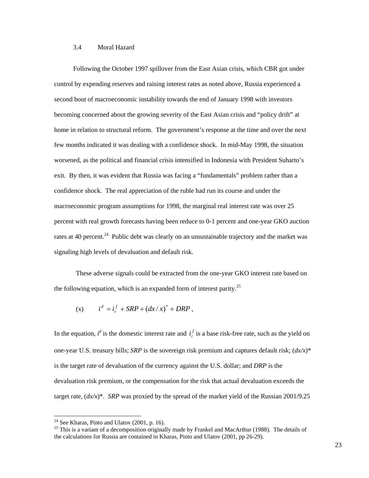#### 3.4 Moral Hazard

Following the October 1997 spillover from the East Asian crisis, which CBR got under control by expending reserves and raising interest rates as noted above, Russia experienced a second bout of macroeconomic instability towards the end of January 1998 with investors becoming concerned about the growing severity of the East Asian crisis and "policy drift" at home in relation to structural reform. The government's response at the time and over the next few months indicated it was dealing with a confidence shock. In mid-May 1998, the situation worsened, as the political and financial crisis intensified in Indonesia with President Suharto's exit. By then, it was evident that Russia was facing a "fundamentals" problem rather than a confidence shock. The real appreciation of the ruble had run its course and under the macroeconomic program assumptions for 1998, the marginal real interest rate was over 25 percent with real growth forecasts having been reduce to 0-1 percent and one-year GKO auction rates at 40 percent.<sup>24</sup> Public debt was clearly on an unsustainable trajectory and the market was signaling high levels of devaluation and default risk.

These adverse signals could be extracted from the one-year GKO interest rate based on the following equation, which is an expanded form of interest parity.<sup>25</sup>

$$
(x) \t id = irf + SRP + (dx/x)* + DRP,
$$

In the equation,  $i^d$  is the domestic interest rate and  $i^f$  is a base risk-free rate, such as the yield on one-year U.S. treasury bills; *SRP* is the sovereign risk premium and captures default risk; (*dx/x*)\* is the target rate of devaluation of the currency against the U.S. dollar; and *DRP* is the devaluation risk premium, or the compensation for the risk that actual devaluation exceeds the target rate,  $\left(\frac{dx}{x}\right)^*$ . *SRP* was proxied by the spread of the market yield of the Russian 2001/9.25

 $24$  See Kharas, Pinto and Ulatov (2001, p. 16).

<sup>&</sup>lt;sup>25</sup> This is a variant of a decomposition originally made by Frankel and MacArthur (1988). The details of the calculations for Russia are contained in Kharas, Pinto and Ulatov (2001, pp 26-29).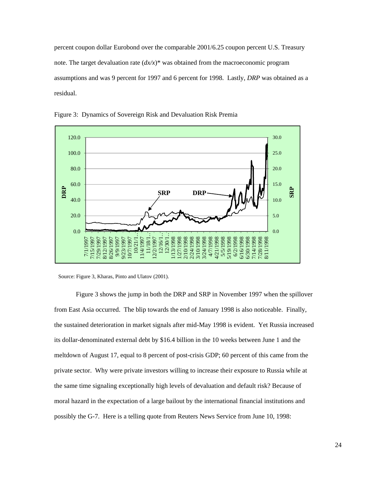percent coupon dollar Eurobond over the comparable 2001/6.25 coupon percent U.S. Treasury note. The target devaluation rate  $\left(\frac{dx}{x}\right)^*$  was obtained from the macroeconomic program assumptions and was 9 percent for 1997 and 6 percent for 1998. Lastly, *DRP* was obtained as a residual.



Figure 3: Dynamics of Sovereign Risk and Devaluation Risk Premia

Source: Figure 3, Kharas, Pinto and Ulatov (2001).

Figure 3 shows the jump in both the DRP and SRP in November 1997 when the spillover from East Asia occurred. The blip towards the end of January 1998 is also noticeable. Finally, the sustained deterioration in market signals after mid-May 1998 is evident. Yet Russia increased its dollar-denominated external debt by \$16.4 billion in the 10 weeks between June 1 and the meltdown of August 17, equal to 8 percent of post-crisis GDP; 60 percent of this came from the private sector. Why were private investors willing to increase their exposure to Russia while at the same time signaling exceptionally high levels of devaluation and default risk? Because of moral hazard in the expectation of a large bailout by the international financial institutions and possibly the G-7. Here is a telling quote from Reuters News Service from June 10, 1998: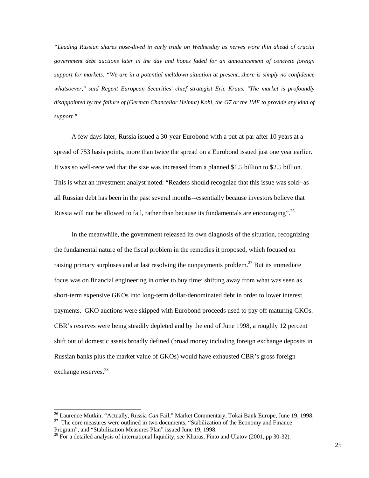*"Leading Russian shares nose-dived in early trade on Wednesday as nerves wore thin ahead of crucial government debt auctions later in the day and hopes faded for an announcement of concrete foreign support for markets. "We are in a potential meltdown situation at present...there is simply no confidence whatsoever," said Regent European Securities' chief strategist Eric Kraus. "The market is profoundly disappointed by the failure of (German Chancellor Helmut) Kohl, the G7 or the IMF to provide any kind of support."* 

A few days later, Russia issued a 30-year Eurobond with a put-at-par after 10 years at a spread of 753 basis points, more than twice the spread on a Eurobond issued just one year earlier. It was so well-received that the size was increased from a planned \$1.5 billion to \$2.5 billion. This is what an investment analyst noted: "Readers should recognize that this issue was sold--as all Russian debt has been in the past several months--essentially because investors believe that Russia will not be allowed to fail, rather than because its fundamentals are encouraging".  $^{26}$ 

In the meanwhile, the government released its own diagnosis of the situation, recognizing the fundamental nature of the fiscal problem in the remedies it proposed, which focused on raising primary surpluses and at last resolving the nonpayments problem.<sup>27</sup> But its immediate focus was on financial engineering in order to buy time: shifting away from what was seen as short-term expensive GKOs into long-term dollar-denominated debt in order to lower interest payments. GKO auctions were skipped with Eurobond proceeds used to pay off maturing GKOs. CBR's reserves were being steadily depleted and by the end of June 1998, a roughly 12 percent shift out of domestic assets broadly defined (broad money including foreign exchange deposits in Russian banks plus the market value of GKOs) would have exhausted CBR's gross foreign exchange reserves.<sup>28</sup>

<sup>&</sup>lt;sup>26</sup> Laurence Mutkin, "Actually, Russia *Can* Fail," Market Commentary, Tokai Bank Europe, June 19, 1998.<br><sup>27</sup> The core measures were outlined in two documents, "Stabilization of the Economy and Finance

Program", and "Stabilization Measures Plan" issued June 19, 1998.<br><sup>28</sup> For a detailed analysis of international liquidity, see Kharas, Pinto and Ulatov (2001, pp 30-32).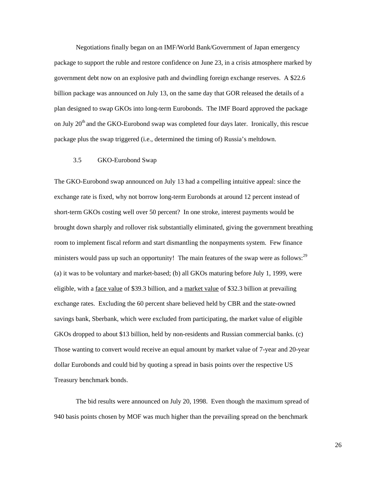Negotiations finally began on an IMF/World Bank/Government of Japan emergency package to support the ruble and restore confidence on June 23, in a crisis atmosphere marked by government debt now on an explosive path and dwindling foreign exchange reserves. A \$22.6 billion package was announced on July 13, on the same day that GOR released the details of a plan designed to swap GKOs into long-term Eurobonds. The IMF Board approved the package on July  $20<sup>th</sup>$  and the GKO-Eurobond swap was completed four days later. Ironically, this rescue package plus the swap triggered (i.e., determined the timing of) Russia's meltdown.

# 3.5 GKO-Eurobond Swap

The GKO-Eurobond swap announced on July 13 had a compelling intuitive appeal: since the exchange rate is fixed, why not borrow long-term Eurobonds at around 12 percent instead of short-term GKOs costing well over 50 percent? In one stroke, interest payments would be brought down sharply and rollover risk substantially eliminated, giving the government breathing room to implement fiscal reform and start dismantling the nonpayments system. Few finance ministers would pass up such an opportunity! The main features of the swap were as follows: $^{29}$ (a) it was to be voluntary and market-based; (b) all GKOs maturing before July 1, 1999, were eligible, with a <u>face value</u> of \$39.3 billion, and a market value of \$32.3 billion at prevailing exchange rates. Excluding the 60 percent share believed held by CBR and the state-owned savings bank, Sberbank, which were excluded from participating, the market value of eligible GKOs dropped to about \$13 billion, held by non-residents and Russian commercial banks. (c) Those wanting to convert would receive an equal amount by market value of 7-year and 20-year dollar Eurobonds and could bid by quoting a spread in basis points over the respective US Treasury benchmark bonds.

 The bid results were announced on July 20, 1998. Even though the maximum spread of 940 basis points chosen by MOF was much higher than the prevailing spread on the benchmark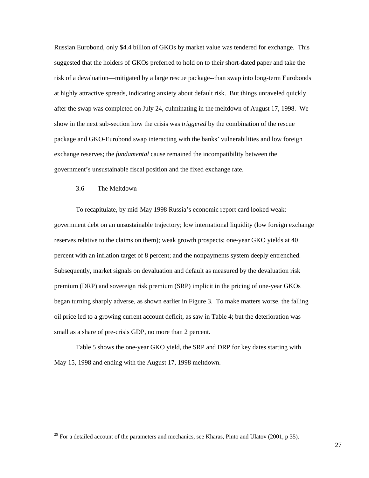Russian Eurobond, only \$4.4 billion of GKOs by market value was tendered for exchange. This suggested that the holders of GKOs preferred to hold on to their short-dated paper and take the risk of a devaluation—mitigated by a large rescue package--than swap into long-term Eurobonds at highly attractive spreads, indicating anxiety about default risk. But things unraveled quickly after the swap was completed on July 24, culminating in the meltdown of August 17, 1998. We show in the next sub-section how the crisis was *triggered* by the combination of the rescue package and GKO-Eurobond swap interacting with the banks' vulnerabilities and low foreign exchange reserves; the *fundamental* cause remained the incompatibility between the government's unsustainable fiscal position and the fixed exchange rate.

#### 3.6 The Meltdown

To recapitulate, by mid-May 1998 Russia's economic report card looked weak: government debt on an unsustainable trajectory; low international liquidity (low foreign exchange reserves relative to the claims on them); weak growth prospects; one-year GKO yields at 40 percent with an inflation target of 8 percent; and the nonpayments system deeply entrenched. Subsequently, market signals on devaluation and default as measured by the devaluation risk premium (DRP) and sovereign risk premium (SRP) implicit in the pricing of one-year GKOs began turning sharply adverse, as shown earlier in Figure 3. To make matters worse, the falling oil price led to a growing current account deficit, as saw in Table 4; but the deterioration was small as a share of pre-crisis GDP, no more than 2 percent.

Table 5 shows the one-year GKO yield, the SRP and DRP for key dates starting with May 15, 1998 and ending with the August 17, 1998 meltdown.

 $^{29}$  For a detailed account of the parameters and mechanics, see Kharas, Pinto and Ulatov (2001, p 35).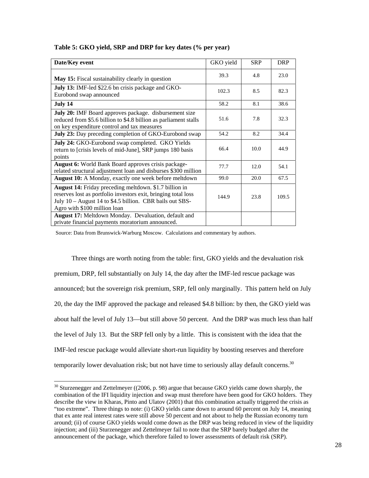| Date/Key event                                                                                                                                                                                                              | GKO yield | <b>SRP</b> | <b>DRP</b> |
|-----------------------------------------------------------------------------------------------------------------------------------------------------------------------------------------------------------------------------|-----------|------------|------------|
| May 15: Fiscal sustainability clearly in question                                                                                                                                                                           | 39.3      | 4.8        | 23.0       |
| July 13: IMF-led \$22.6 bn crisis package and GKO-<br>Eurobond swap announced                                                                                                                                               | 102.3     | 8.5        | 82.3       |
| July 14                                                                                                                                                                                                                     | 58.2      | 8.1        | 38.6       |
| July 20: IMF Board approves package. disbursement size<br>reduced from \$5.6 billion to \$4.8 billion as parliament stalls<br>on key expenditure control and tax measures                                                   | 51.6      | 7.8        | 32.3       |
| July 23: Day preceding completion of GKO-Eurobond swap                                                                                                                                                                      | 54.2      | 8.2        | 34.4       |
| July 24: GKO-Eurobond swap completed. GKO Yields<br>return to [crisis levels of mid-June], SRP jumps 180 basis<br>points                                                                                                    | 66.4      | 10.0       | 44.9       |
| <b>August 6:</b> World Bank Board approves crisis package-<br>related structural adjustment loan and disburses \$300 million                                                                                                | 77.7      | 12.0       | 54.1       |
| <b>August 10:</b> A Monday, exactly one week before meltdown                                                                                                                                                                | 99.0      | 20.0       | 67.5       |
| <b>August 14:</b> Friday preceding meltdown. \$1.7 billion in<br>reserves lost as portfolio investors exit, bringing total loss<br>July 10 - August 14 to \$4.5 billion. CBR bails out SBS-<br>Agro with \$100 million loan | 144.9     | 23.8       | 109.5      |
| August 17: Meltdown Monday. Devaluation, default and<br>private financial payments moratorium announced.                                                                                                                    |           |            |            |

# **Table 5: GKO yield, SRP and DRP for key dates (% per year)**

Source: Data from Brunswick-Warburg Moscow. Calculations and commentary by authors.

l

Three things are worth noting from the table: first, GKO yields and the devaluation risk premium, DRP, fell substantially on July 14, the day after the IMF-led rescue package was announced; but the sovereign risk premium, SRP, fell only marginally. This pattern held on July 20, the day the IMF approved the package and released \$4.8 billion: by then, the GKO yield was about half the level of July 13—but still above 50 percent. And the DRP was much less than half the level of July 13. But the SRP fell only by a little. This is consistent with the idea that the IMF-led rescue package would alleviate short-run liquidity by boosting reserves and therefore temporarily lower devaluation risk; but not have time to seriously allay default concerns.<sup>30</sup>

<sup>&</sup>lt;sup>30</sup> Sturzenegger and Zettelmeyer ((2006, p. 98) argue that because GKO yields came down sharply, the combination of the IFI liquidity injection and swap must therefore have been good for GKO holders. They describe the view in Kharas, Pinto and Ulatov (2001) that this combination actually triggered the crisis as "too extreme". Three things to note: (i) GKO yields came down to around 60 percent on July 14, meaning that ex ante real interest rates were still above 50 percent and not about to help the Russian economy turn around; (ii) of course GKO yields would come down as the DRP was being reduced in view of the liquidity injection; and (iii) Sturzenegger and Zettelmeyer fail to note that the SRP barely budged after the announcement of the package, which therefore failed to lower assessments of default risk (SRP).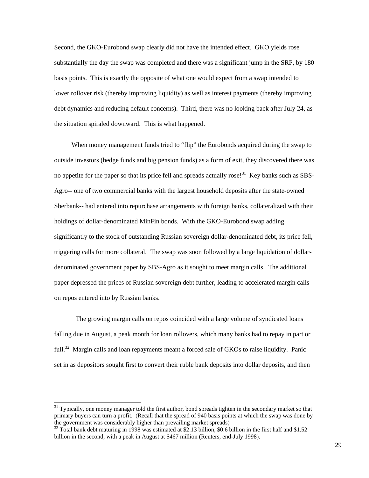Second, the GKO-Eurobond swap clearly did not have the intended effect. GKO yields rose substantially the day the swap was completed and there was a significant jump in the SRP, by 180 basis points. This is exactly the opposite of what one would expect from a swap intended to lower rollover risk (thereby improving liquidity) as well as interest payments (thereby improving debt dynamics and reducing default concerns). Third, there was no looking back after July 24, as the situation spiraled downward. This is what happened.

When money management funds tried to "flip" the Eurobonds acquired during the swap to outside investors (hedge funds and big pension funds) as a form of exit, they discovered there was no appetite for the paper so that its price fell and spreads actually rose!<sup>31</sup> Key banks such as SBS-Agro-- one of two commercial banks with the largest household deposits after the state-owned Sberbank-- had entered into repurchase arrangements with foreign banks, collateralized with their holdings of dollar-denominated MinFin bonds. With the GKO-Eurobond swap adding significantly to the stock of outstanding Russian sovereign dollar-denominated debt, its price fell, triggering calls for more collateral. The swap was soon followed by a large liquidation of dollardenominated government paper by SBS-Agro as it sought to meet margin calls. The additional paper depressed the prices of Russian sovereign debt further, leading to accelerated margin calls on repos entered into by Russian banks.

The growing margin calls on repos coincided with a large volume of syndicated loans falling due in August, a peak month for loan rollovers, which many banks had to repay in part or full.<sup>32</sup> Margin calls and loan repayments meant a forced sale of GKOs to raise liquidity. Panic set in as depositors sought first to convert their ruble bank deposits into dollar deposits, and then

<sup>&</sup>lt;sup>31</sup> Typically, one money manager told the first author, bond spreads tighten in the secondary market so that primary buyers can turn a profit. (Recall that the spread of 940 basis points at which the swap was done by the government was considerably higher than prevailing market spreads)

 $32$  Total bank debt maturing in 1998 was estimated at \$2.13 billion, \$0.6 billion in the first half and \$1.52 billion in the second, with a peak in August at \$467 million (Reuters, end-July 1998).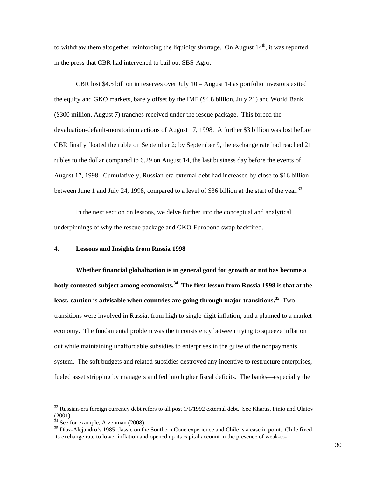to withdraw them altogether, reinforcing the liquidity shortage. On August  $14<sup>th</sup>$ , it was reported in the press that CBR had intervened to bail out SBS-Agro.

CBR lost \$4.5 billion in reserves over July 10 – August 14 as portfolio investors exited the equity and GKO markets, barely offset by the IMF (\$4.8 billion, July 21) and World Bank (\$300 million, August 7) tranches received under the rescue package. This forced the devaluation-default-moratorium actions of August 17, 1998. A further \$3 billion was lost before CBR finally floated the ruble on September 2; by September 9, the exchange rate had reached 21 rubles to the dollar compared to 6.29 on August 14, the last business day before the events of August 17, 1998. Cumulatively, Russian-era external debt had increased by close to \$16 billion between June 1 and July 24, 1998, compared to a level of \$36 billion at the start of the year.<sup>33</sup>

In the next section on lessons, we delve further into the conceptual and analytical underpinnings of why the rescue package and GKO-Eurobond swap backfired.

#### **4. Lessons and Insights from Russia 1998**

 **Whether financial globalization is in general good for growth or not has become a hotly contested subject among economists.34 The first lesson from Russia 1998 is that at the least, caution is advisable when countries are going through major transitions.<sup>35</sup>** Two transitions were involved in Russia: from high to single-digit inflation; and a planned to a market economy. The fundamental problem was the inconsistency between trying to squeeze inflation out while maintaining unaffordable subsidies to enterprises in the guise of the nonpayments system. The soft budgets and related subsidies destroyed any incentive to restructure enterprises, fueled asset stripping by managers and fed into higher fiscal deficits. The banks—especially the

 $33$  Russian-era foreign currency debt refers to all post  $1/1/1992$  external debt. See Kharas, Pinto and Ulatov (2001).

 $34$  See for example, Aizenman (2008).

<sup>&</sup>lt;sup>35</sup> Diaz-Alejandro's 1985 classic on the Southern Cone experience and Chile is a case in point. Chile fixed its exchange rate to lower inflation and opened up its capital account in the presence of weak-to-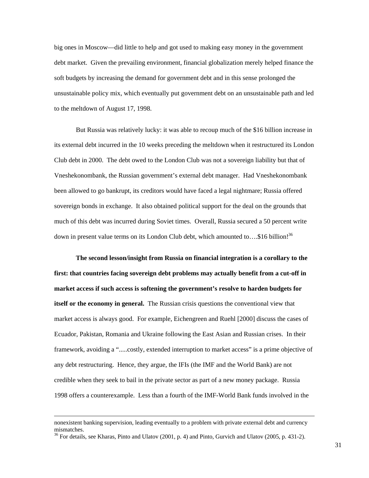big ones in Moscow—did little to help and got used to making easy money in the government debt market. Given the prevailing environment, financial globalization merely helped finance the soft budgets by increasing the demand for government debt and in this sense prolonged the unsustainable policy mix, which eventually put government debt on an unsustainable path and led to the meltdown of August 17, 1998.

 But Russia was relatively lucky: it was able to recoup much of the \$16 billion increase in its external debt incurred in the 10 weeks preceding the meltdown when it restructured its London Club debt in 2000. The debt owed to the London Club was not a sovereign liability but that of Vneshekonombank, the Russian government's external debt manager. Had Vneshekonombank been allowed to go bankrupt, its creditors would have faced a legal nightmare; Russia offered sovereign bonds in exchange. It also obtained political support for the deal on the grounds that much of this debt was incurred during Soviet times. Overall, Russia secured a 50 percent write down in present value terms on its London Club debt, which amounted to...,\$16 billion!<sup>36</sup>

 **The second lesson/insight from Russia on financial integration is a corollary to the first: that countries facing sovereign debt problems may actually benefit from a cut-off in market access if such access is softening the government's resolve to harden budgets for itself or the economy in general.** The Russian crisis questions the conventional view that market access is always good. For example, Eichengreen and Ruehl [2000] discuss the cases of Ecuador, Pakistan, Romania and Ukraine following the East Asian and Russian crises. In their framework, avoiding a ".....costly, extended interruption to market access" is a prime objective of any debt restructuring. Hence, they argue, the IFIs (the IMF and the World Bank) are not credible when they seek to bail in the private sector as part of a new money package. Russia 1998 offers a counterexample. Less than a fourth of the IMF-World Bank funds involved in the

nonexistent banking supervision, leading eventually to a problem with private external debt and currency mismatches.

<sup>&</sup>lt;sup>36</sup> For details, see Kharas, Pinto and Ulatov (2001, p. 4) and Pinto, Gurvich and Ulatov (2005, p. 431-2).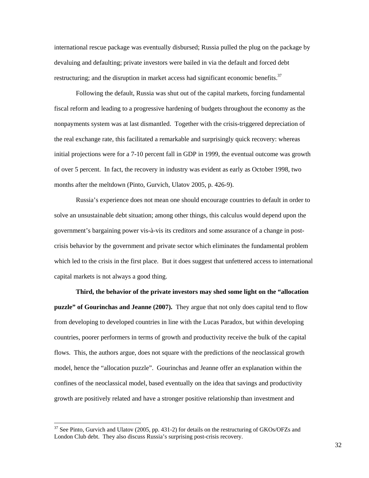international rescue package was eventually disbursed; Russia pulled the plug on the package by devaluing and defaulting; private investors were bailed in via the default and forced debt restructuring; and the disruption in market access had significant economic benefits.<sup>37</sup>

Following the default, Russia was shut out of the capital markets, forcing fundamental fiscal reform and leading to a progressive hardening of budgets throughout the economy as the nonpayments system was at last dismantled. Together with the crisis-triggered depreciation of the real exchange rate, this facilitated a remarkable and surprisingly quick recovery: whereas initial projections were for a 7-10 percent fall in GDP in 1999, the eventual outcome was growth of over 5 percent. In fact, the recovery in industry was evident as early as October 1998, two months after the meltdown (Pinto, Gurvich, Ulatov 2005, p. 426-9).

Russia's experience does not mean one should encourage countries to default in order to solve an unsustainable debt situation; among other things, this calculus would depend upon the government's bargaining power vis-à-vis its creditors and some assurance of a change in postcrisis behavior by the government and private sector which eliminates the fundamental problem which led to the crisis in the first place. But it does suggest that unfettered access to international capital markets is not always a good thing.

 **Third, the behavior of the private investors may shed some light on the "allocation puzzle" of Gourinchas and Jeanne (2007).** They argue that not only does capital tend to flow from developing to developed countries in line with the Lucas Paradox, but within developing countries, poorer performers in terms of growth and productivity receive the bulk of the capital flows. This, the authors argue, does not square with the predictions of the neoclassical growth model, hence the "allocation puzzle". Gourinchas and Jeanne offer an explanation within the confines of the neoclassical model, based eventually on the idea that savings and productivity growth are positively related and have a stronger positive relationship than investment and

<sup>&</sup>lt;sup>37</sup> See Pinto, Gurvich and Ulatov (2005, pp. 431-2) for details on the restructuring of GKOs/OFZs and London Club debt. They also discuss Russia's surprising post-crisis recovery.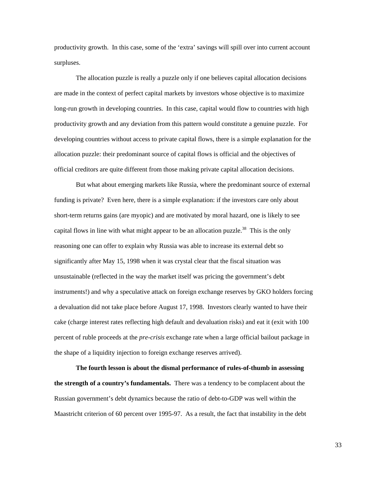productivity growth. In this case, some of the 'extra' savings will spill over into current account surpluses.

The allocation puzzle is really a puzzle only if one believes capital allocation decisions are made in the context of perfect capital markets by investors whose objective is to maximize long-run growth in developing countries. In this case, capital would flow to countries with high productivity growth and any deviation from this pattern would constitute a genuine puzzle. For developing countries without access to private capital flows, there is a simple explanation for the allocation puzzle: their predominant source of capital flows is official and the objectives of official creditors are quite different from those making private capital allocation decisions.

But what about emerging markets like Russia, where the predominant source of external funding is private? Even here, there is a simple explanation: if the investors care only about short-term returns gains (are myopic) and are motivated by moral hazard, one is likely to see capital flows in line with what might appear to be an allocation puzzle.<sup>38</sup> This is the only reasoning one can offer to explain why Russia was able to increase its external debt so significantly after May 15, 1998 when it was crystal clear that the fiscal situation was unsustainable (reflected in the way the market itself was pricing the government's debt instruments!) and why a speculative attack on foreign exchange reserves by GKO holders forcing a devaluation did not take place before August 17, 1998. Investors clearly wanted to have their cake (charge interest rates reflecting high default and devaluation risks) and eat it (exit with 100 percent of ruble proceeds at the *pre-crisis* exchange rate when a large official bailout package in the shape of a liquidity injection to foreign exchange reserves arrived).

 **The fourth lesson is about the dismal performance of rules-of-thumb in assessing the strength of a country's fundamentals.** There was a tendency to be complacent about the Russian government's debt dynamics because the ratio of debt-to-GDP was well within the Maastricht criterion of 60 percent over 1995-97. As a result, the fact that instability in the debt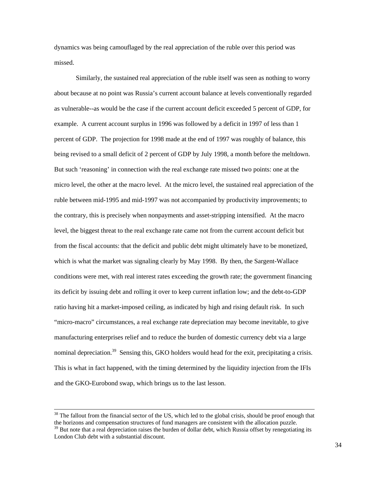dynamics was being camouflaged by the real appreciation of the ruble over this period was missed.

Similarly, the sustained real appreciation of the ruble itself was seen as nothing to worry about because at no point was Russia's current account balance at levels conventionally regarded as vulnerable--as would be the case if the current account deficit exceeded 5 percent of GDP, for example. A current account surplus in 1996 was followed by a deficit in 1997 of less than 1 percent of GDP. The projection for 1998 made at the end of 1997 was roughly of balance, this being revised to a small deficit of 2 percent of GDP by July 1998, a month before the meltdown. But such 'reasoning' in connection with the real exchange rate missed two points: one at the micro level, the other at the macro level. At the micro level, the sustained real appreciation of the ruble between mid-1995 and mid-1997 was not accompanied by productivity improvements; to the contrary, this is precisely when nonpayments and asset-stripping intensified. At the macro level, the biggest threat to the real exchange rate came not from the current account deficit but from the fiscal accounts: that the deficit and public debt might ultimately have to be monetized, which is what the market was signaling clearly by May 1998. By then, the Sargent-Wallace conditions were met, with real interest rates exceeding the growth rate; the government financing its deficit by issuing debt and rolling it over to keep current inflation low; and the debt-to-GDP ratio having hit a market-imposed ceiling, as indicated by high and rising default risk. In such "micro-macro" circumstances, a real exchange rate depreciation may become inevitable, to give manufacturing enterprises relief and to reduce the burden of domestic currency debt via a large nominal depreciation.<sup>39</sup> Sensing this, GKO holders would head for the exit, precipitating a crisis. This is what in fact happened, with the timing determined by the liquidity injection from the IFIs and the GKO-Eurobond swap, which brings us to the last lesson.

<sup>&</sup>lt;sup>38</sup> The fallout from the financial sector of the US, which led to the global crisis, should be proof enough that the horizons and compensation structures of fund managers are consistent with the allocation puzzle.

 $39$  But note that a real depreciation raises the burden of dollar debt, which Russia offset by renegotiating its London Club debt with a substantial discount.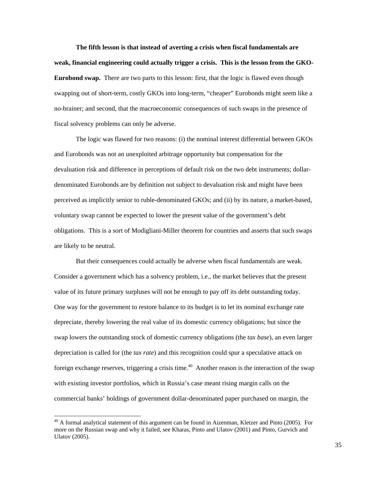**The fifth lesson is that instead of averting a crisis when fiscal fundamentals are weak, financial engineering could actually trigger a crisis. This is the lesson from the GKO-Eurobond swap.** There are two parts to this lesson: first, that the logic is flawed even though swapping out of short-term, costly GKOs into long-term, "cheaper" Eurobonds might seem like a no-brainer; and second, that the macroeconomic consequences of such swaps in the presence of fiscal solvency problems can only be adverse.

 The logic was flawed for two reasons: (i) the nominal interest differential between GKOs and Eurobonds was not an unexploited arbitrage opportunity but compensation for the devaluation risk and difference in perceptions of default risk on the two debt instruments; dollardenominated Eurobonds are by definition not subject to devaluation risk and might have been perceived as implicitly senior to ruble-denominated GKOs; and (ii) by its nature, a market-based, voluntary swap cannot be expected to lower the present value of the government's debt obligations. This is a sort of Modigliani-Miller theorem for countries and asserts that such swaps are likely to be neutral.

 But their consequences could actually be adverse when fiscal fundamentals are weak. Consider a government which has a solvency problem, i.e., the market believes that the present value of its future primary surpluses will not be enough to pay off its debt outstanding today. One way for the government to restore balance to its budget is to let its nominal exchange rate depreciate, thereby lowering the real value of its domestic currency obligations; but since the swap lowers the outstanding stock of domestic currency obligations (the *tax base*), an even larger depreciation is called for (the *tax rate*) and this recognition could spur a speculative attack on foreign exchange reserves, triggering a crisis time.<sup>40</sup> Another reason is the interaction of the swap with existing investor portfolios, which in Russia's case meant rising margin calls on the commercial banks' holdings of government dollar-denominated paper purchased on margin, the

 $40$  A formal analytical statement of this argument can be found in Aizenman, Kletzer and Pinto (2005). For more on the Russian swap and why it failed, see Kharas, Pinto and Ulatov (2001) and Pinto, Gurvich and Ulatov (2005).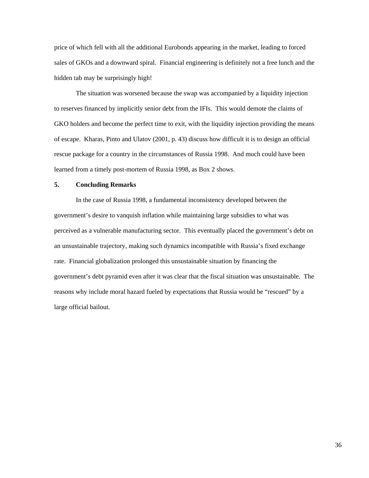price of which fell with all the additional Eurobonds appearing in the market, leading to forced sales of GKOs and a downward spiral. Financial engineering is definitely not a free lunch and the hidden tab may be surprisingly high!

 The situation was worsened because the swap was accompanied by a liquidity injection to reserves financed by implicitly senior debt from the IFIs. This would demote the claims of GKO holders and become the perfect time to exit, with the liquidity injection providing the means of escape. Kharas, Pinto and Ulatov (2001, p. 43) discuss how difficult it is to design an official rescue package for a country in the circumstances of Russia 1998. And much could have been learned from a timely post-mortem of Russia 1998, as Box 2 shows.

# **5. Concluding Remarks**

 In the case of Russia 1998, a fundamental inconsistency developed between the government's desire to vanquish inflation while maintaining large subsidies to what was perceived as a vulnerable manufacturing sector. This eventually placed the government's debt on an unsustainable trajectory, making such dynamics incompatible with Russia's fixed exchange rate. Financial globalization prolonged this unsustainable situation by financing the government's debt pyramid even after it was clear that the fiscal situation was unsustainable. The reasons why include moral hazard fueled by expectations that Russia would be "rescued" by a large official bailout.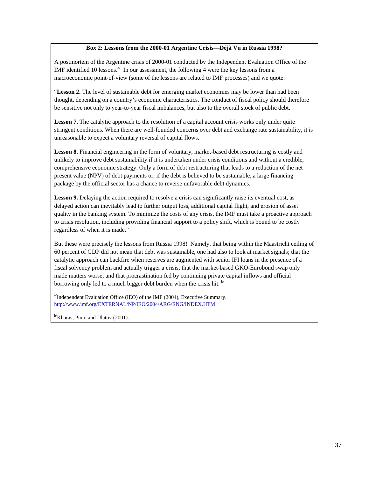# **Box 2: Lessons from the 2000-01 Argentine Crisis—Déjà Vu in Russia 1998?**

A postmortem of the Argentine crisis of 2000-01 conducted by the Independent Evaluation Office of the IMF identified 10 lessons.<sup>a/</sup> In our assessment, the following 4 were the key lessons from a macroeconomic point-of-view (some of the lessons are related to IMF processes) and we quote:

"**Lesson 2.** The level of sustainable debt for emerging market economies may be lower than had been thought, depending on a country's economic characteristics. The conduct of fiscal policy should therefore be sensitive not only to year-to-year fiscal imbalances, but also to the overall stock of public debt.

Lesson 7. The catalytic approach to the resolution of a capital account crisis works only under quite stringent conditions. When there are well-founded concerns over debt and exchange rate sustainability, it is unreasonable to expect a voluntary reversal of capital flows.

Lesson 8. Financial engineering in the form of voluntary, market-based debt restructuring is costly and unlikely to improve debt sustainability if it is undertaken under crisis conditions and without a credible, comprehensive economic strategy. Only a form of debt restructuring that leads to a reduction of the net present value (NPV) of debt payments or, if the debt is believed to be sustainable, a large financing package by the official sector has a chance to reverse unfavorable debt dynamics.

Lesson 9. Delaying the action required to resolve a crisis can significantly raise its eventual cost, as delayed action can inevitably lead to further output loss, additional capital flight, and erosion of asset quality in the banking system. To minimize the costs of any crisis, the IMF must take a proactive approach to crisis resolution, including providing financial support to a policy shift, which is bound to be costly regardless of when it is made."

But these were precisely the lessons from Russia 1998! Namely, that being within the Maastricht ceiling of 60 percent of GDP did not mean that debt was sustainable, one had also to look at market signals; that the catalytic approach can backfire when reserves are augmented with senior IFI loans in the presence of a fiscal solvency problem and actually trigger a crisis; that the market-based GKO-Eurobond swap only made matters worse; and that procrastination fed by continuing private capital inflows and official borrowing only led to a much bigger debt burden when the crisis hit.  $\frac{b}{c}$ 

 $a^{i}$ Independent Evaluation Office (IEO) of the IMF (2004), Executive Summary. http://www.imf.org/EXTERNAL/NP/IEO/2004/ARG/ENG/INDEX.HTM

<sup>b/</sup>Kharas, Pinto and Ulatov (2001).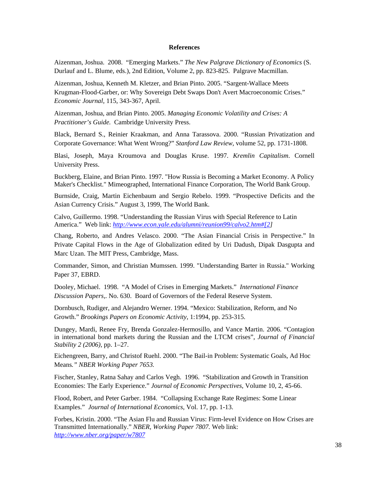#### **References**

Aizenman, Joshua. 2008. "Emerging Markets." *The New Palgrave Dictionary of Economics* (S. Durlauf and L. Blume, eds.), 2nd Edition, Volume 2, pp. 823-825. Palgrave Macmillan.

Aizenman, Joshua, Kenneth M. Kletzer, and Brian Pinto. 2005. "Sargent-Wallace Meets Krugman-Flood-Garber, or: Why Sovereign Debt Swaps Don't Avert Macroeconomic Crises." *Economic Journal*, 115, 343-367, April.

Aizenman, Joshua, and Brian Pinto. 2005. *Managing Economic Volatility and Crises: A Practitioner's Guide.* Cambridge University Press.

Black, Bernard S., Reinier Kraakman, and Anna Tarassova. 2000. "Russian Privatization and Corporate Governance: What Went Wrong?" *Stanford Law Review*, volume 52, pp. 1731-1808.

Blasi, Joseph, Maya Kroumova and Douglas Kruse. 1997. *Kremlin Capitalism*. Cornell University Press.

Buckberg, Elaine, and Brian Pinto. 1997. "How Russia is Becoming a Market Economy. A Policy Maker's Checklist." Mimeographed, International Finance Corporation, The World Bank Group.

Burnside, Craig, Martin Eichenbaum and Sergio Rebelo. 1999. "Prospective Deficits and the Asian Currency Crisis." August 3, 1999, The World Bank.

Calvo, Guillermo. 1998. "Understanding the Russian Virus with Special Reference to Latin America." Web link: *http://www.econ.yale.edu/alumni/reunion99/calvo2.htm#[2]* 

Chang, Roberto, and Andres Velasco. 2000. "The Asian Financial Crisis in Perspective." In Private Capital Flows in the Age of Globalization edited by Uri Dadush, Dipak Dasgupta and Marc Uzan. The MIT Press, Cambridge, Mass.

Commander, Simon, and Christian Mumssen. 1999. "Understanding Barter in Russia." Working Paper 37, EBRD.

Dooley, Michael. 1998. "A Model of Crises in Emerging Markets." *International Finance Discussion Papers,*. No. 630. Board of Governors of the Federal Reserve System.

Dornbusch, Rudiger, and Alejandro Werner. 1994. "Mexico: Stabilization, Reform, and No Growth." *Brookings Papers on Economic Activity*, 1:1994, pp. 253-315.

Dungey, Mardi, Renee Fry, Brenda Gonzalez-Hermosillo, and Vance Martin. 2006. "Contagion in international bond markets during the Russian and the LTCM crises", *Journal of Financial Stability 2 (2006),* pp. 1–27.

Eichengreen, Barry, and Christof Ruehl. 2000. "The Bail-in Problem: Systematic Goals, Ad Hoc Means*." NBER Working Paper 7653.*

Fischer, Stanley, Ratna Sahay and Carlos Vegh. 1996. "Stabilization and Growth in Transition Economies: The Early Experience." *Journal of Economic Perspectives*, Volume 10, 2, 45-66.

Flood, Robert, and Peter Garber. 1984. "Collapsing Exchange Rate Regimes: Some Linear Examples." *Journal of International Economics*, Vol. 17, pp. 1-13.

Forbes, Kristin. 2000. "The Asian Flu and Russian Virus: Firm-level Evidence on How Crises are Transmitted Internationally." *NBER*, *Working Paper 7807.* Web link: *http://www.nber.org/paper/w7807*